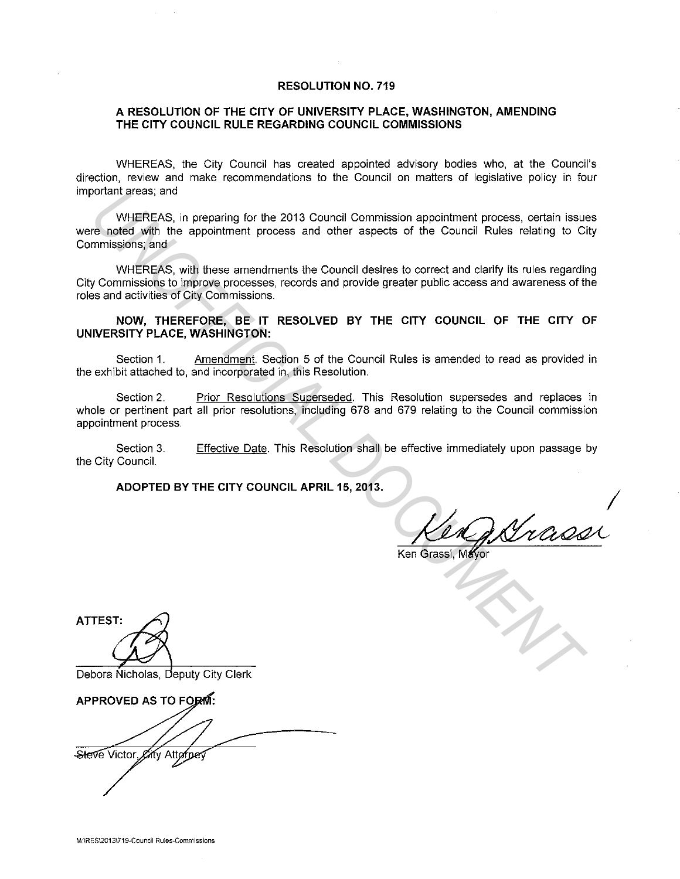#### **RESOLUTION NO. 719**

## **A RESOLUTION OF THE CITY OF UNIVERSITY PLACE, WASHINGTON, AMENDING THE CITY COUNCIL RULE REGARDING COUNCIL COMMISSIONS**

WHEREAS, the City Council has created appointed advisory bodies who, at the Council's direction, review and make recommendations to the Council on matters of legislative policy in four important areas; and

WHEREAS, in preparing for the 2013 Council Commission appointment process, certain issues were noted with the appointment process and other aspects of the Council Rules relating to City Commissions; and borant steas, and<br>
respectively. Hinter-Res, in preparing for the 2013 Council Commission appointment process, cortain issues<br>
respectively. The appointment process and other aspects of the Council Rules relating to Ci<br>
un

WHEREAS, with these amendments the Council desires to correct and clarify its rules regarding City Commissions to improve processes, records and provide greater public access and awareness of the roles and activities of City Commissions.

#### **NOW, THEREFORE, BE IT RESOLVED BY THE CITY COUNCIL OF THE CITY OF UNIVERSITY PLACE, WASHINGTON:**

Section 1. Amendment. Section 5 of the Council Rules is amended to read as provided in the exhibit attached to, and incorporated in, this Resolution.

Section 2. Prior Resolutions Superseded. This Resolution supersedes and replaces in whole or pertinent part all prior resolutions, including 678 and 679 relating to the Council commission appointment process.

Section 3. the City Council. Effective Date. This Resolution shall be effective immediately upon passage by

**ADOPTED BY THE CITY COUNCIL APRIL 15, 2013.** I

Ken p Nrassi

 $\overrightarrow{A}$ 

Debora Nicholas, Deputy City Clerk

APPROVED AS TO FORM: Steve Victor Eity Attorpey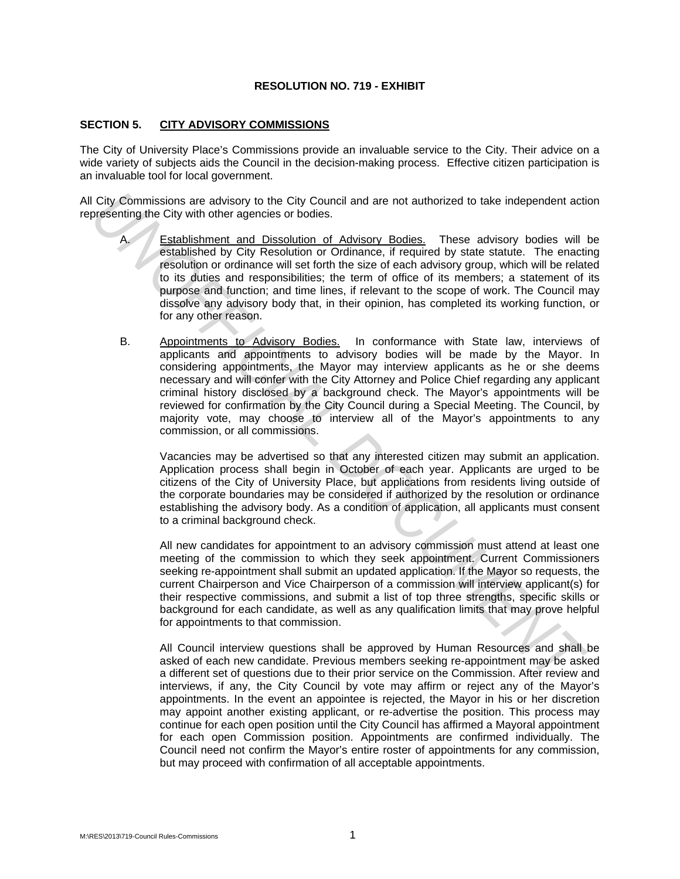## **RESOLUTION NO. 719 - EXHIBIT**

# **SECTION 5. CITY ADVISORY COMMISSIONS**

The City of University Place's Commissions provide an invaluable service to the City. Their advice on a wide variety of subjects aids the Council in the decision-making process. Effective citizen participation is an invaluable tool for local government.

All City Commissions are advisory to the City Council and are not authorized to take independent action representing the City with other agencies or bodies.

- A. Establishment and Dissolution of Advisory Bodies. These advisory bodies will be established by City Resolution or Ordinance, if required by state statute. The enacting resolution or ordinance will set forth the size of each advisory group, which will be related to its duties and responsibilities; the term of office of its members; a statement of its purpose and function; and time lines, if relevant to the scope of work. The Council may dissolve any advisory body that, in their opinion, has completed its working function, or for any other reason.
- B. Appointments to Advisory Bodies. In conformance with State law, interviews of applicants and appointments to advisory bodies will be made by the Mayor. In considering appointments, the Mayor may interview applicants as he or she deems necessary and will confer with the City Attorney and Police Chief regarding any applicant criminal history disclosed by a background check. The Mayor's appointments will be reviewed for confirmation by the City Council during a Special Meeting. The Council, by majority vote, may choose to interview all of the Mayor's appointments to any commission, or all commissions. City Commissions are advisory to the City Council and are not authorized to take independent actives the second of the control of the control of the control of the control of the control of the control of the control of th

Vacancies may be advertised so that any interested citizen may submit an application. Application process shall begin in October of each year. Applicants are urged to be citizens of the City of University Place, but applications from residents living outside of the corporate boundaries may be considered if authorized by the resolution or ordinance establishing the advisory body. As a condition of application, all applicants must consent to a criminal background check.

 All new candidates for appointment to an advisory commission must attend at least one meeting of the commission to which they seek appointment. Current Commissioners seeking re-appointment shall submit an updated application. If the Mayor so requests, the current Chairperson and Vice Chairperson of a commission will interview applicant(s) for their respective commissions, and submit a list of top three strengths, specific skills or background for each candidate, as well as any qualification limits that may prove helpful for appointments to that commission.

All Council interview questions shall be approved by Human Resources and shall be asked of each new candidate. Previous members seeking re-appointment may be asked a different set of questions due to their prior service on the Commission. After review and interviews, if any, the City Council by vote may affirm or reject any of the Mayor's appointments. In the event an appointee is rejected, the Mayor in his or her discretion may appoint another existing applicant, or re-advertise the position. This process may continue for each open position until the City Council has affirmed a Mayoral appointment for each open Commission position. Appointments are confirmed individually. The Council need not confirm the Mayor's entire roster of appointments for any commission, but may proceed with confirmation of all acceptable appointments.